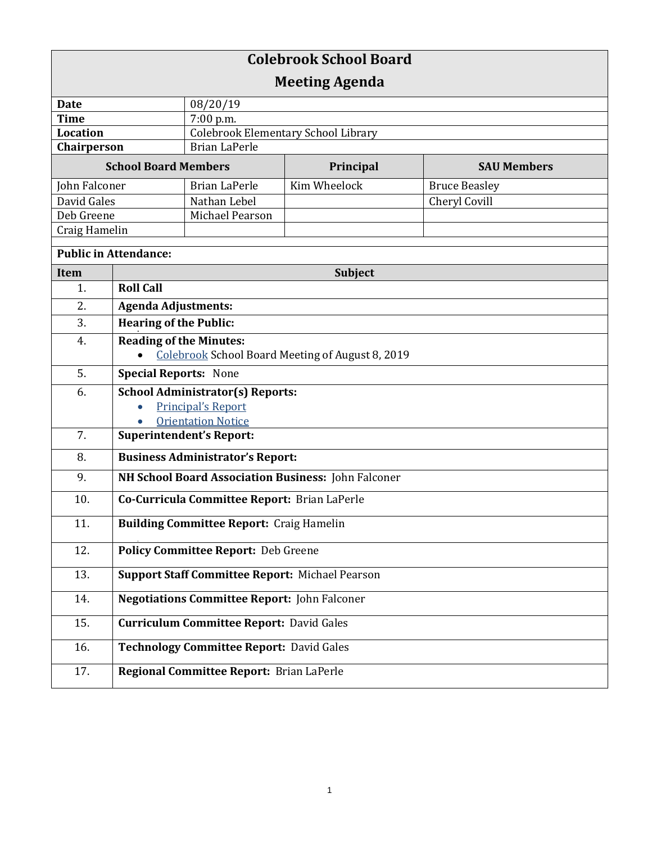| <b>Colebrook School Board</b> |                                                                           |                                            |              |                      |  |
|-------------------------------|---------------------------------------------------------------------------|--------------------------------------------|--------------|----------------------|--|
| <b>Meeting Agenda</b>         |                                                                           |                                            |              |                      |  |
| Date                          |                                                                           | 08/20/19                                   |              |                      |  |
| <b>Time</b>                   |                                                                           | 7:00 p.m.                                  |              |                      |  |
| Location                      |                                                                           | <b>Colebrook Elementary School Library</b> |              |                      |  |
| Chairperson                   |                                                                           | <b>Brian LaPerle</b>                       |              |                      |  |
| <b>School Board Members</b>   |                                                                           |                                            | Principal    | <b>SAU Members</b>   |  |
| John Falconer                 |                                                                           | <b>Brian LaPerle</b>                       | Kim Wheelock | <b>Bruce Beasley</b> |  |
| David Gales                   |                                                                           | Nathan Lebel                               |              | Cheryl Covill        |  |
| Deb Greene                    |                                                                           | Michael Pearson                            |              |                      |  |
| Craig Hamelin                 |                                                                           |                                            |              |                      |  |
| <b>Public in Attendance:</b>  |                                                                           |                                            |              |                      |  |
| <b>Item</b>                   | <b>Subject</b>                                                            |                                            |              |                      |  |
| 1.                            | <b>Roll Call</b>                                                          |                                            |              |                      |  |
| 2.                            | <b>Agenda Adjustments:</b>                                                |                                            |              |                      |  |
| 3.                            | <b>Hearing of the Public:</b>                                             |                                            |              |                      |  |
| 4.                            | <b>Reading of the Minutes:</b>                                            |                                            |              |                      |  |
|                               | Colebrook School Board Meeting of August 8, 2019                          |                                            |              |                      |  |
| 5.                            | <b>Special Reports: None</b>                                              |                                            |              |                      |  |
| 6.                            | <b>School Administrator(s) Reports:</b>                                   |                                            |              |                      |  |
|                               | <b>Principal's Report</b>                                                 |                                            |              |                      |  |
| 7.                            | <b>Orientation Notice</b><br>$\bullet$<br><b>Superintendent's Report:</b> |                                            |              |                      |  |
| 8.                            | <b>Business Administrator's Report:</b>                                   |                                            |              |                      |  |
| 9.                            | NH School Board Association Business: John Falconer                       |                                            |              |                      |  |
| 10.                           | Co-Curricula Committee Report: Brian LaPerle                              |                                            |              |                      |  |
|                               |                                                                           |                                            |              |                      |  |
| 11.                           | <b>Building Committee Report: Craig Hamelin</b>                           |                                            |              |                      |  |
| 12.                           | <b>Policy Committee Report: Deb Greene</b>                                |                                            |              |                      |  |
| 13.                           | <b>Support Staff Committee Report: Michael Pearson</b>                    |                                            |              |                      |  |
| 14.                           | <b>Negotiations Committee Report: John Falconer</b>                       |                                            |              |                      |  |
| 15.                           | <b>Curriculum Committee Report: David Gales</b>                           |                                            |              |                      |  |
| 16.                           | <b>Technology Committee Report: David Gales</b>                           |                                            |              |                      |  |
| 17.                           | Regional Committee Report: Brian LaPerle                                  |                                            |              |                      |  |